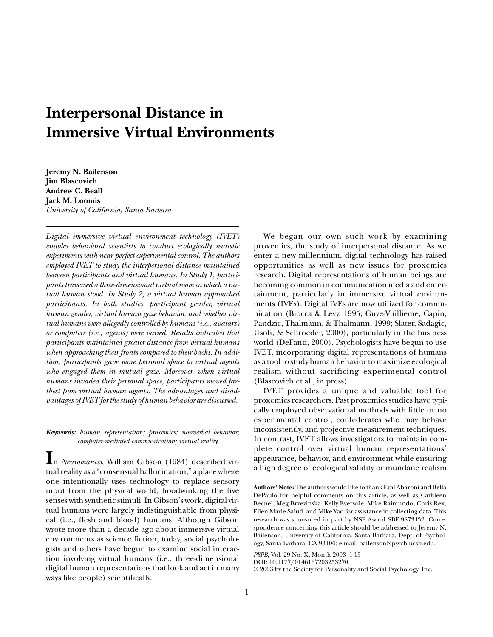# **Interpersonal Distance in Immersive Virtual Environments**

**Jeremy N. Bailenson Jim Blascovich Andrew C. Beall Jack M. Loomis** *University of California, Santa Barbara*

10.1177/0146167203253270 PERSONALITY AND SOCIAL PSYCHOLOGY BULLETIN Bailenson et al. / INTERPERSONAL DISTANCE IN VIRTUAL ENVIRONMENTS**ARTICLE**

*Digital immersive virtual environment technology (IVET) enables behavioral scientists to conduct ecologically realistic experiments with near-perfect experimental control. The authors employed IVET to study the interpersonal distance maintained between participants and virtual humans. In Study 1, participants traversed a three-dimensional virtual room in which a virtual human stood. In Study 2, a virtual human approached participants. In both studies, participant gender, virtual human gender, virtual human gaze behavior, and whether virtual humans were allegedly controlled by humans (i.e., avatars) or computers (i.e., agents) were varied. Results indicated that participants maintained greater distance from virtual humans when approaching their fronts compared to their backs. In addition, participants gave more personal space to virtual agents who engaged them in mutual gaze. Moreover, when virtual humans invaded their personal space, participants moved farthest from virtual human agents. The advantages and disadvantages of IVET for the study of human behavior are discussed.*

*Keywords: human representation; proxemics; nonverbal behavior; computer-mediated communication; virtual reality*

**I**<sup>n</sup> *Neuromancer*, William Gibson (1984) described virtual reality as a "consensual hallucination," a place where one intentionally uses technology to replace sensory input from the physical world, hoodwinking the five senses with synthetic stimuli. In Gibson's work, digital virtual humans were largely indistinguishable from physical (i.e., flesh and blood) humans. Although Gibson wrote more than a decade ago about immersive virtual environments as science fiction, today, social psychologists and others have begun to examine social interaction involving virtual humans (i.e., three-dimensional digital human representations that look and act in many ways like people) scientifically.

We began our own such work by examining proxemics, the study of interpersonal distance. As we enter a new millennium, digital technology has raised opportunities as well as new issues for proxemics research. Digital representations of human beings are becoming common in communication media and entertainment, particularly in immersive virtual environments (IVEs). Digital IVEs are now utilized for communication (Biocca & Levy, 1995; Guye-Vuillieme, Capin, Pandzic, Thalmann, & Thalmann, 1999; Slater, Sadagic, Usoh, & Schroeder, 2000), particularly in the business world (DeFanti, 2000). Psychologists have begun to use IVET, incorporating digital representations of humans as a tool to study human behavior to maximize ecological realism without sacrificing experimental control (Blascovich et al., in press).

IVET provides a unique and valuable tool for proxemics researchers. Past proxemics studies have typically employed observational methods with little or no experimental control, confederates who may behave inconsistently, and projective measurement techniques. In contrast, IVET allows investigators to maintain complete control over virtual human representations' appearance, behavior, and environment while ensuring a high degree of ecological validity or mundane realism

*PSPB,* Vol. 29 No. X, Month 2003 1-[15](#page-14-0)

DOI: 10.1177/0146167203253270

**Authors' Note:** The authors would like to thank Eyal Aharoni and Bella DePaulo for helpful comments on this article, as well as Cathleen Becnel, Meg Brzezinska, Kelly Eversole, Mike Raimundo, Chris Rex, Ellen Marie Salud, and Mike Yao for assistance in collecting data. This research was sponsored in part by NSF Award SBE-9873432. Correspondence concerning this article should be addressed to Jeremy N. Bailenson, University of California, Santa Barbara, Dept. of Psychology, Santa Barbara, CA 93106; e-mail: bailenson@psych.ucsb.edu.

<sup>© 2003</sup> by the Society for Personality and Social Psychology, Inc.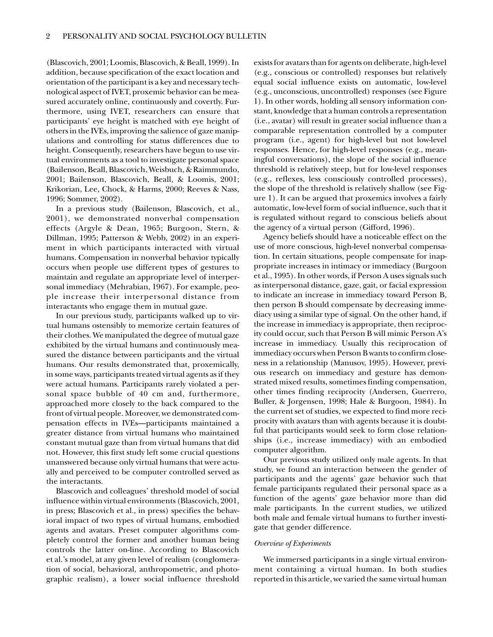(Blascovich, 2001; Loomis, Blascovich, & Beall, 1999). In addition, because specification of the exact location and orientation of the participant is a key and necessary technological aspect of IVET, proxemic behavior can be measured accurately online, continuously and covertly. Furthermore, using IVET, researchers can ensure that participants' eye height is matched with eye height of others in the IVEs, improving the salience of gaze manipulations and controlling for status differences due to height. Consequently, researchers have begun to use virtual environments as a tool to investigate personal space (Bailenson, Beall, Blascovich, Weisbuch, & Raimmundo, 2001; Bailenson, Blascovich, Beall, & Loomis, 2001; Krikorian, Lee, Chock, & Harms, 2000; Reeves & Nass, 1996; Sommer, 2002).

In a previous study (Bailenson, Blascovich, et al., 2001), we demonstrated nonverbal compensation effects (Argyle & Dean, 1965; Burgoon, Stern, & Dillman, 1995; Patterson & Webb, 2002) in an experiment in which participants interacted with virtual humans. Compensation in nonverbal behavior typically occurs when people use different types of gestures to maintain and regulate an appropriate level of interpersonal immediacy (Mehrabian, 1967). For example, people increase their interpersonal distance from interactants who engage them in mutual gaze.

In our previous study, participants walked up to virtual humans ostensibly to memorize certain features of their clothes. We manipulated the degree of mutual gaze exhibited by the virtual humans and continuously measured the distance between participants and the virtual humans. Our results demonstrated that, proxemically, in some ways, participants treated virtual agents as if they were actual humans. Participants rarely violated a personal space bubble of 40 cm and, furthermore, approached more closely to the back compared to the front of virtual people. Moreover, we demonstrated compensation effects in IVEs—participants maintained a greater distance from virtual humans who maintained constant mutual gaze than from virtual humans that did not. However, this first study left some crucial questions unanswered because only virtual humans that were actually and perceived to be computer controlled served as the interactants.

Blascovich and colleagues' threshold model of social influence within virtual environments (Blascovich, 2001, in press; Blascovich et al., in press) specifies the behavioral impact of two types of virtual humans, embodied agents and avatars. Preset computer algorithms completely control the former and another human being controls the latter on-line. According to Blascovich et al.'s model, at any given level of realism (conglomeration of social, behavioral, anthropometric, and photographic realism), a lower social influence threshold exists for avatars than for agents on deliberate, high-level (e.g., conscious or controlled) responses but relatively equal social influence exists on automatic, low-level (e.g., unconscious, uncontrolled) responses (see Figure 1). In other words, holding all sensory information constant, knowledge that a human controls a representation (i.e., avatar) will result in greater social influence than a comparable representation controlled by a computer program (i.e., agent) for high-level but not low-level responses. Hence, for high-level responses (e.g., meaningful conversations), the slope of the social influence threshold is relatively steep, but for low-level responses (e.g., reflexes, less consciously controlled processes), the slope of the threshold is relatively shallow (see Figure 1). It can be argued that proxemics involves a fairly automatic, low-level form of social influence, such that it is regulated without regard to conscious beliefs about the agency of a virtual person (Gifford, 1996).

Agency beliefs should have a noticeable effect on the use of more conscious, high-level nonverbal compensation. In certain situations, people compensate for inappropriate increases in intimacy or immediacy (Burgoon et al., 1995). In other words, if Person A uses signals such as interpersonal distance, gaze, gait, or facial expression to indicate an increase in immediacy toward Person B, then person B should compensate by decreasing immediacy using a similar type of signal. On the other hand, if the increase in immediacy is appropriate, then reciprocity could occur, such that Person B will mimic Person A's increase in immediacy. Usually this reciprocation of immediacy occurs when Person B wants to confirm closeness in a relationship (Manusov, 1995). However, previous research on immediacy and gesture has demonstrated mixed results, sometimes finding compensation, other times finding reciprocity (Andersen, Guerrero, Buller, & Jorgensen, 1998; Hale & Burgoon, 1984). In the current set of studies, we expected to find more reciprocity with avatars than with agents because it is doubtful that participants would seek to form close relationships (i.e., increase immediacy) with an embodied computer algorithm.

Our previous study utilized only male agents. In that study, we found an interaction between the gender of participants and the agents' gaze behavior such that female participants regulated their personal space as a function of the agents' gaze behavior more than did male participants. In the current studies, we utilized both male and female virtual humans to further investigate that gender difference.

# *Overview of Experiments*

We immersed participants in a single virtual environment containing a virtual human. In both studies reported in this article, we varied the same virtual human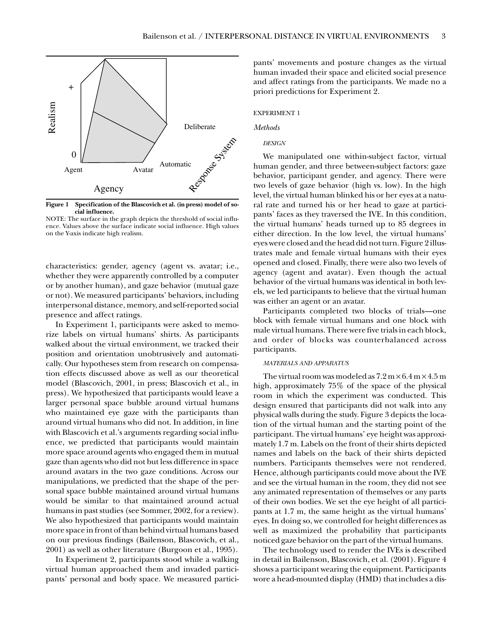

**Figure 1 Specification of the Blascovich et al. (in press) model of social influence.**

NOTE: The surface in the graph depicts the threshold of social influence. Values above the surface indicate social influence. High values on the Y-axis indicate high realism.

characteristics: gender, agency (agent vs. avatar; i.e., whether they were apparently controlled by a computer or by another human), and gaze behavior (mutual gaze or not). We measured participants' behaviors, including interpersonal distance, memory, and self-reported social presence and affect ratings.

In Experiment 1, participants were asked to memorize labels on virtual humans' shirts. As participants walked about the virtual environment, we tracked their position and orientation unobtrusively and automatically. Our hypotheses stem from research on compensation effects discussed above as well as our theoretical model (Blascovich, 2001, in press; Blascovich et al., in press). We hypothesized that participants would leave a larger personal space bubble around virtual humans who maintained eye gaze with the participants than around virtual humans who did not. In addition, in line with Blascovich et al.'s arguments regarding social influence, we predicted that participants would maintain more space around agents who engaged them in mutual gaze than agents who did not but less difference in space around avatars in the two gaze conditions. Across our manipulations, we predicted that the shape of the personal space bubble maintained around virtual humans would be similar to that maintained around actual humans in past studies (see Sommer, 2002, for a review). We also hypothesized that participants would maintain more space in front of than behind virtual humans based on our previous findings (Bailenson, Blascovich, et al., 2001) as well as other literature (Burgoon et al., 1995).

In Experiment 2, participants stood while a walking virtual human approached them and invaded participants' personal and body space. We measured participants' movements and posture changes as the virtual human invaded their space and elicited social presence and affect ratings from the participants. We made no a priori predictions for Experiment 2.

## EXPERIMENT 1

# *Methods*

## *DESIGN*

We manipulated one within-subject factor, virtual human gender, and three between-subject factors: gaze behavior, participant gender, and agency. There were two levels of gaze behavior (high vs. low). In the high level, the virtual human blinked his or her eyes at a natural rate and turned his or her head to gaze at participants' faces as they traversed the IVE. In this condition, the virtual humans' heads turned up to 85 degrees in either direction. In the low level, the virtual humans' eyes were closed and the head did not turn. Figure 2 illustrates male and female virtual humans with their eyes opened and closed. Finally, there were also two levels of agency (agent and avatar). Even though the actual behavior of the virtual humans was identical in both levels, we led participants to believe that the virtual human was either an agent or an avatar.

Participants completed two blocks of trials—one block with female virtual humans and one block with male virtual humans. There were five trials in each block, and order of blocks was counterbalanced across participants.

## *MATERIALS AND APPARATUS*

The virtual room was modeled as  $7.2 \text{ m} \times 6.4 \text{ m} \times 4.5 \text{ m}$ high, approximately 75% of the space of the physical room in which the experiment was conducted. This design ensured that participants did not walk into any physical walls during the study. Figure 3 depicts the location of the virtual human and the starting point of the participant. The virtual humans' eye height was approximately 1.7 m. Labels on the front of their shirts depicted names and labels on the back of their shirts depicted numbers. Participants themselves were not rendered. Hence, although participants could move about the IVE and see the virtual human in the room, they did not see any animated representation of themselves or any parts of their own bodies. We set the eye height of all participants at 1.7 m, the same height as the virtual humans' eyes. In doing so, we controlled for height differences as well as maximized the probability that participants noticed gaze behavior on the part of the virtual humans.

The technology used to render the IVEs is described in detail in Bailenson, Blascovich, et al. (2001). Figure 4 shows a participant wearing the equipment. Participants wore a head-mounted display (HMD) that includes a dis-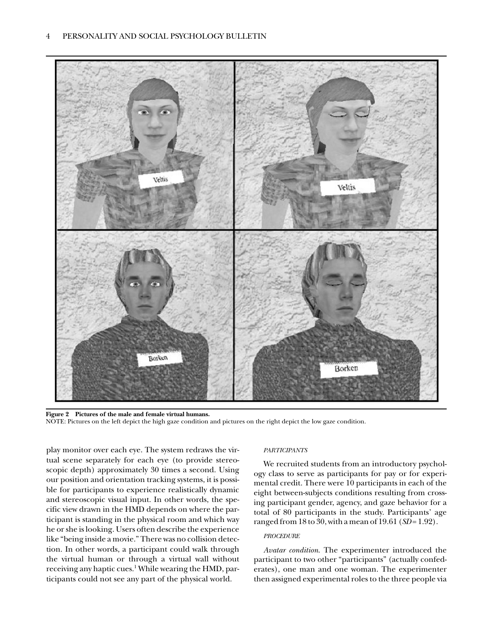

**Figure 2 Pictures of the male and female virtual humans.** NOTE: Pictures on the left depict the high gaze condition and pictures on the right depict the low gaze condition.

play monitor over each eye. The system redraws the virtual scene separately for each eye (to provide stereoscopic depth) approximately 30 times a second. Using our position and orientation tracking systems, it is possible for participants to experience realistically dynamic and stereoscopic visual input. In other words, the specific view drawn in the HMD depends on where the participant is standing in the physical room and which way he or she is looking. Users often describe the experience like "being inside a movie." There was no collision detection. In other words, a participant could walk through the virtual human or through a virtual wall without receiving any haptic cues.<sup>1</sup> While wearing the HMD, participants could not see any part of the physical world.

# *PARTICIPANTS*

We recruited students from an introductory psychology class to serve as participants for pay or for experimental credit. There were 10 participants in each of the eight between-subjects conditions resulting from crossing participant gender, agency, and gaze behavior for a total of 80 participants in the study. Participants' age ranged from 18 to 30, with a mean of 19.61 (*SD*= 1.92).

# *PROCEDURE*

*Avatar condition*. The experimenter introduced the participant to two other "participants" (actually confederates), one man and one woman. The experimenter then assigned experimental roles to the three people via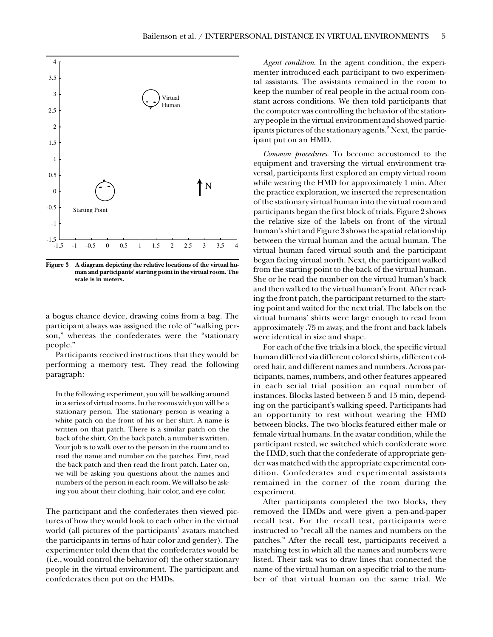

**Figure 3 A diagram depicting the relative locations of the virtual human and participants' starting point in the virtual room. The scale is in meters.**

a bogus chance device, drawing coins from a bag. The participant always was assigned the role of "walking person," whereas the confederates were the "stationary people."

Participants received instructions that they would be performing a memory test. They read the following paragraph:

In the following experiment, you will be walking around in a series of virtual rooms. In the rooms with you will be a stationary person. The stationary person is wearing a white patch on the front of his or her shirt. A name is written on that patch. There is a similar patch on the back of the shirt. On the back patch, a number is written. Your job is to walk over to the person in the room and to read the name and number on the patches. First, read the back patch and then read the front patch. Later on, we will be asking you questions about the names and numbers of the person in each room. We will also be asking you about their clothing, hair color, and eye color.

The participant and the confederates then viewed pictures of how they would look to each other in the virtual world (all pictures of the participants' avatars matched the participants in terms of hair color and gender). The experimenter told them that the confederates would be (i.e., would control the behavior of) the other stationary people in the virtual environment. The participant and confederates then put on the HMDs.

*Agent condition*. In the agent condition, the experimenter introduced each participant to two experimental assistants. The assistants remained in the room to keep the number of real people in the actual room constant across conditions. We then told participants that the computer was controlling the behavior of the stationary people in the virtual environment and showed participants pictures of the stationary agents.<sup>2</sup> Next, the participant put on an HMD.

*Common procedures*. To become accustomed to the equipment and traversing the virtual environment traversal, participants first explored an empty virtual room while wearing the HMD for approximately 1 min. After the practice exploration, we inserted the representation of the stationary virtual human into the virtual room and participants began the first block of trials. Figure 2 shows the relative size of the labels on front of the virtual human's shirt and Figure 3 shows the spatial relationship between the virtual human and the actual human. The virtual human faced virtual south and the participant began facing virtual north. Next, the participant walked from the starting point to the back of the virtual human. She or he read the number on the virtual human's back and then walked to the virtual human's front. After reading the front patch, the participant returned to the starting point and waited for the next trial. The labels on the virtual humans' shirts were large enough to read from approximately .75 m away, and the front and back labels were identical in size and shape.

For each of the five trials in a block, the specific virtual human differed via different colored shirts, different colored hair, and different names and numbers. Across participants, names, numbers, and other features appeared in each serial trial position an equal number of instances. Blocks lasted between 5 and 15 min, depending on the participant's walking speed. Participants had an opportunity to rest without wearing the HMD between blocks. The two blocks featured either male or female virtual humans. In the avatar condition, while the participant rested, we switched which confederate wore the HMD, such that the confederate of appropriate gender was matched with the appropriate experimental condition. Confederates and experimental assistants remained in the corner of the room during the experiment.

After participants completed the two blocks, they removed the HMDs and were given a pen-and-paper recall test. For the recall test, participants were instructed to "recall all the names and numbers on the patches." After the recall test, participants received a matching test in which all the names and numbers were listed. Their task was to draw lines that connected the name of the virtual human on a specific trial to the number of that virtual human on the same trial. We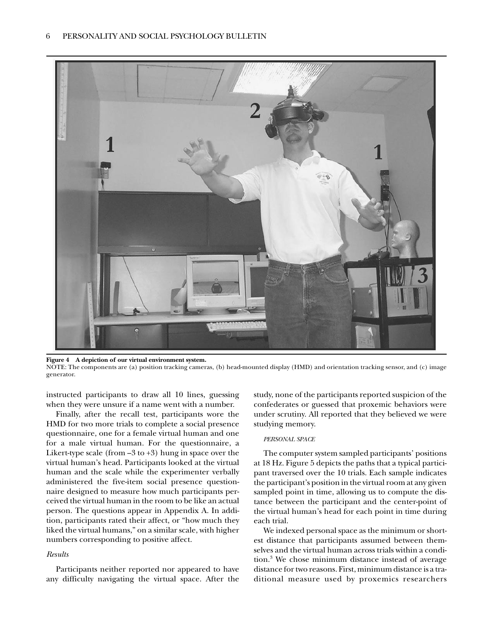

**Figure 4 A depiction of our virtual environment system.**

NOTE: The components are (a) position tracking cameras, (b) head-mounted display (HMD) and orientation tracking sensor, and (c) image generator.

instructed participants to draw all 10 lines, guessing when they were unsure if a name went with a number.

Finally, after the recall test, participants wore the HMD for two more trials to complete a social presence questionnaire, one for a female virtual human and one for a male virtual human. For the questionnaire, a Likert-type scale (from  $-3$  to  $+3$ ) hung in space over the virtual human's head. Participants looked at the virtual human and the scale while the experimenter verbally administered the five-item social presence questionnaire designed to measure how much participants perceived the virtual human in the room to be like an actual person. The questions appear in Appendix A. In addition, participants rated their affect, or "how much they liked the virtual humans," on a similar scale, with higher numbers corresponding to positive affect.

# *Results*

Participants neither reported nor appeared to have any difficulty navigating the virtual space. After the study, none of the participants reported suspicion of the confederates or guessed that proxemic behaviors were under scrutiny. All reported that they believed we were studying memory.

# *PERSONAL SPACE*

The computer system sampled participants' positions at 18 Hz. Figure 5 depicts the paths that a typical participant traversed over the 10 trials. Each sample indicates the participant's position in the virtual room at any given sampled point in time, allowing us to compute the distance between the participant and the center-point of the virtual human's head for each point in time during each trial.

We indexed personal space as the minimum or shortest distance that participants assumed between themselves and the virtual human across trials within a condition.<sup>3</sup> We chose minimum distance instead of average distance for two reasons. First, minimum distance is a traditional measure used by proxemics researchers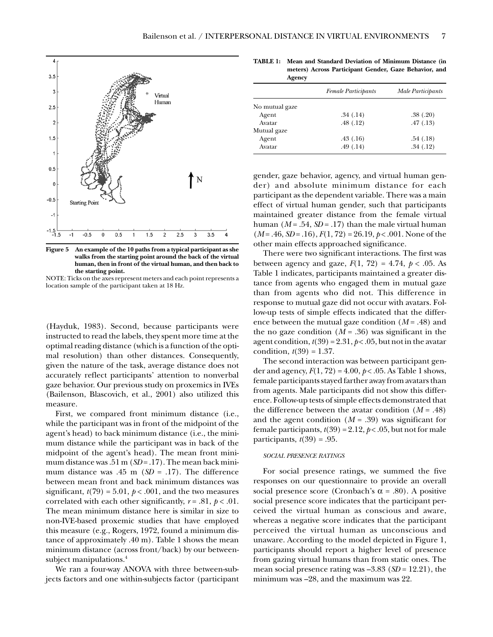

**Figure 5 An example of the 10 paths from a typical participant as she walks from the starting point around the back of the virtual human, then in front of the virtual human, and then back to the starting point.**

NOTE: Ticks on the axes represent meters and each point represents a location sample of the participant taken at 18 Hz.

(Hayduk, 1983). Second, because participants were instructed to read the labels, they spent more time at the optimal reading distance (which is a function of the optimal resolution) than other distances. Consequently, given the nature of the task, average distance does not accurately reflect participants' attention to nonverbal gaze behavior. Our previous study on proxemics in IVEs (Bailenson, Blascovich, et al., 2001) also utilized this measure.

First, we compared front minimum distance (i.e., while the participant was in front of the midpoint of the agent's head) to back minimum distance (i.e., the minimum distance while the participant was in back of the midpoint of the agent's head). The mean front minimum distance was .51 m (*SD* = .17). The mean back minimum distance was .45 m (*SD* = .17). The difference between mean front and back minimum distances was significant,  $t(79) = 5.01$ ,  $p < .001$ , and the two measures correlated with each other significantly,  $r = .81$ ,  $p < .01$ . The mean minimum distance here is similar in size to non-IVE-based proxemic studies that have employed this measure (e.g., Rogers, 1972, found a minimum distance of approximately .40 m). Table 1 shows the mean minimum distance (across front/back) by our betweensubject manipulations.<sup>4</sup>

We ran a four-way ANOVA with three between-subjects factors and one within-subjects factor (participant

**TABLE 1: Mean and Standard Deviation of Minimum Distance (in meters) Across Participant Gender, Gaze Behavior, and Agency**

| $1 - 1$        |                            |                   |
|----------------|----------------------------|-------------------|
|                | <b>Female Participants</b> | Male Participants |
| No mutual gaze |                            |                   |
| Agent          | .34(.14)                   | .38(.20)          |
| Avatar         | .48(.12)                   | .47(.13)          |
| Mutual gaze    |                            |                   |
| Agent          | .43(.16)                   | .54(.18)          |
| Avatar         | .49(.14)                   | .34(.12)          |

gender, gaze behavior, agency, and virtual human gender) and absolute minimum distance for each participant as the dependent variable. There was a main effect of virtual human gender, such that participants maintained greater distance from the female virtual human  $(M = .54, SD = .17)$  than the male virtual human  $(M = .46, SD = .16)$ ,  $F(1, 72) = 26.19$ ,  $p < .001$ . None of the other main effects approached significance.

There were two significant interactions. The first was between agency and gaze,  $F(1, 72) = 4.74$ ,  $p < .05$ . As Table 1 indicates, participants maintained a greater distance from agents who engaged them in mutual gaze than from agents who did not. This difference in response to mutual gaze did not occur with avatars. Follow-up tests of simple effects indicated that the difference between the mutual gaze condition (*M* = .48) and the no gaze condition  $(M = .36)$  was significant in the agent condition,  $t(39) = 2.31$ ,  $p < .05$ , but not in the avatar condition, *t*(39) = 1.37.

The second interaction was between participant gender and agency,  $F(1, 72) = 4.00$ ,  $p < .05$ . As Table 1 shows, female participants stayed farther away from avatars than from agents. Male participants did not show this difference. Follow-up tests of simple effects demonstrated that the difference between the avatar condition  $(M = .48)$ and the agent condition  $(M = .39)$  was significant for female participants,  $t(39) = 2.12$ ,  $p < .05$ , but not for male participants,  $t(39) = .95$ .

#### *SOCIAL PRESENCE RATINGS*

For social presence ratings, we summed the five responses on our questionnaire to provide an overall social presence score (Cronbach's  $\alpha$  = .80). A positive social presence score indicates that the participant perceived the virtual human as conscious and aware, whereas a negative score indicates that the participant perceived the virtual human as unconscious and unaware. According to the model depicted in Figure 1, participants should report a higher level of presence from gazing virtual humans than from static ones. The mean social presence rating was –3.83 (*SD* = 12.21), the minimum was –28, and the maximum was 22.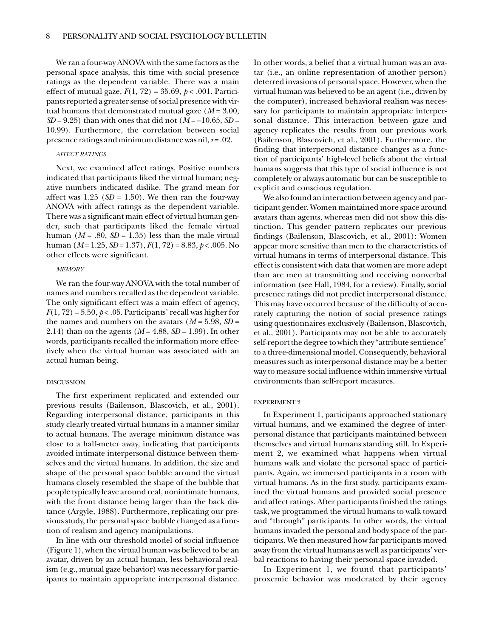We ran a four-way ANOVA with the same factors as the personal space analysis, this time with social presence ratings as the dependent variable. There was a main effect of mutual gaze, *F*(1, 72) = 35.69, *p* < .001. Participants reported a greater sense of social presence with virtual humans that demonstrated mutual gaze  $(M = 3.00,$  $SD = 9.25$ ) than with ones that did not ( $M = -10.65$ ,  $SD =$ 10.99). Furthermore, the correlation between social presence ratings and minimum distance was nil,*r* = .02.

# *AFFECT RATINGS*

Next, we examined affect ratings. Positive numbers indicated that participants liked the virtual human; negative numbers indicated dislike. The grand mean for affect was  $1.25$  (*SD* = 1.50). We then ran the four-way ANOVA with affect ratings as the dependent variable. There was a significant main effect of virtual human gender, such that participants liked the female virtual human  $(M = .80, SD = 1.35)$  less than the male virtual human (*M* = 1.25, *SD* = 1.37), *F*(1, 72) = 8.83, *p* < .005. No other effects were significant.

#### *MEMORY*

We ran the four-way ANOVA with the total number of names and numbers recalled as the dependent variable. The only significant effect was a main effect of agency,  $F(1, 72) = 5.50, p < .05$ . Participants' recall was higher for the names and numbers on the avatars  $(M = 5.98, SD =$ 2.14) than on the agents (*M* = 4.88, *SD* = 1.99). In other words, participants recalled the information more effectively when the virtual human was associated with an actual human being.

## DISCUSSION

The first experiment replicated and extended our previous results (Bailenson, Blascovich, et al., 2001). Regarding interpersonal distance, participants in this study clearly treated virtual humans in a manner similar to actual humans. The average minimum distance was close to a half-meter away, indicating that participants avoided intimate interpersonal distance between themselves and the virtual humans. In addition, the size and shape of the personal space bubble around the virtual humans closely resembled the shape of the bubble that people typically leave around real, nonintimate humans, with the front distance being larger than the back distance (Argyle, 1988). Furthermore, replicating our previous study, the personal space bubble changed as a function of realism and agency manipulations.

In line with our threshold model of social influence (Figure 1), when the virtual human was believed to be an avatar, driven by an actual human, less behavioral realism (e.g., mutual gaze behavior) was necessary for participants to maintain appropriate interpersonal distance. In other words, a belief that a virtual human was an avatar (i.e., an online representation of another person) deterred invasions of personal space. However, when the virtual human was believed to be an agent (i.e., driven by the computer), increased behavioral realism was necessary for participants to maintain appropriate interpersonal distance. This interaction between gaze and agency replicates the results from our previous work (Bailenson, Blascovich, et al., 2001). Furthermore, the finding that interpersonal distance changes as a function of participants' high-level beliefs about the virtual humans suggests that this type of social influence is not completely or always automatic but can be susceptible to explicit and conscious regulation.

We also found an interaction between agency and participant gender. Women maintained more space around avatars than agents, whereas men did not show this distinction. This gender pattern replicates our previous findings (Bailenson, Blascovich, et al., 2001): Women appear more sensitive than men to the characteristics of virtual humans in terms of interpersonal distance. This effect is consistent with data that women are more adept than are men at transmitting and receiving nonverbal information (see Hall, 1984, for a review). Finally, social presence ratings did not predict interpersonal distance. This may have occurred because of the difficulty of accurately capturing the notion of social presence ratings using questionnaires exclusively (Bailenson, Blascovich, et al., 2001). Participants may not be able to accurately self-report the degree to which they "attribute sentience" to a three-dimensional model. Consequently, behavioral measures such as interpersonal distance may be a better way to measure social influence within immersive virtual environments than self-report measures.

#### EXPERIMENT 2

In Experiment 1, participants approached stationary virtual humans, and we examined the degree of interpersonal distance that participants maintained between themselves and virtual humans standing still. In Experiment 2, we examined what happens when virtual humans walk and violate the personal space of participants. Again, we immersed participants in a room with virtual humans. As in the first study, participants examined the virtual humans and provided social presence and affect ratings. After participants finished the ratings task, we programmed the virtual humans to walk toward and "through" participants. In other words, the virtual humans invaded the personal and body space of the participants. We then measured how far participants moved away from the virtual humans as well as participants' verbal reactions to having their personal space invaded.

In Experiment 1, we found that participants' proxemic behavior was moderated by their agency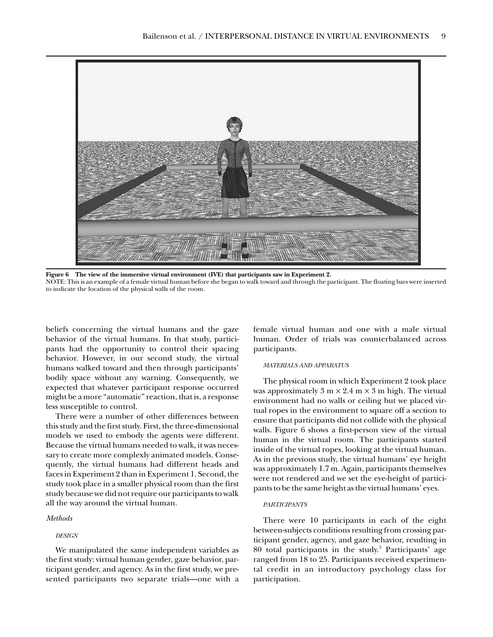

**Figure 6 The view of the immersive virtual environment (IVE) that participants saw in Experiment 2.** NOTE: This is an example of a female virtual human before she began to walk toward and through the participant. The floating bars were inserted to indicate the location of the physical walls of the room.

beliefs concerning the virtual humans and the gaze behavior of the virtual humans. In that study, participants had the opportunity to control their spacing behavior. However, in our second study, the virtual humans walked toward and then through participants' bodily space without any warning. Consequently, we expected that whatever participant response occurred might be a more "automatic" reaction, that is, a response less susceptible to control.

There were a number of other differences between this study and the first study. First, the three-dimensional models we used to embody the agents were different. Because the virtual humans needed to walk, it was necessary to create more complexly animated models. Consequently, the virtual humans had different heads and faces in Experiment 2 than in Experiment 1. Second, the study took place in a smaller physical room than the first study because we did not require our participants to walk all the way around the virtual human.

# *Methods*

# *DESIGN*

We manipulated the same independent variables as the first study: virtual human gender, gaze behavior, participant gender, and agency. As in the first study, we presented participants two separate trials—one with a female virtual human and one with a male virtual human. Order of trials was counterbalanced across participants.

#### *MATERIALS AND APPARATUS*

The physical room in which Experiment 2 took place was approximately  $3 \text{ m} \times 2.4 \text{ m} \times 3 \text{ m}$  high. The virtual environment had no walls or ceiling but we placed virtual ropes in the environment to square off a section to ensure that participants did not collide with the physical walls. Figure 6 shows a first-person view of the virtual human in the virtual room. The participants started inside of the virtual ropes, looking at the virtual human. As in the previous study, the virtual humans' eye height was approximately 1.7 m. Again, participants themselves were not rendered and we set the eye-height of participants to be the same height as the virtual humans' eyes.

# *PARTICIPANTS*

There were 10 participants in each of the eight between-subjects conditions resulting from crossing participant gender, agency, and gaze behavior, resulting in 80 total participants in the study.<sup>5</sup> Participants' age ranged from 18 to 25. Participants received experimental credit in an introductory psychology class for participation.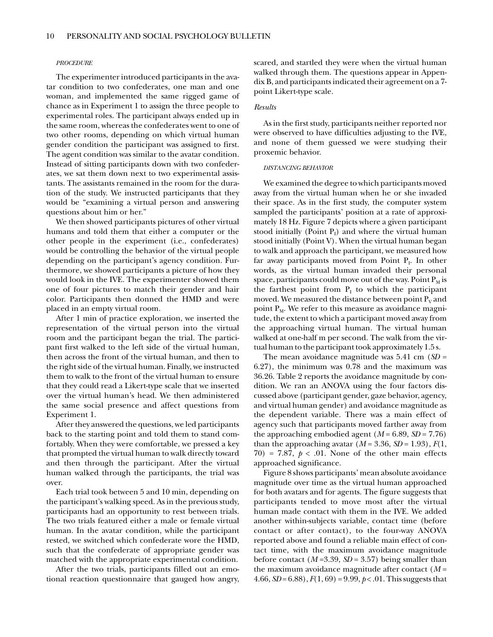#### *PROCEDURE*

The experimenter introduced participants in the avatar condition to two confederates, one man and one woman, and implemented the same rigged game of chance as in Experiment 1 to assign the three people to experimental roles. The participant always ended up in the same room, whereas the confederates went to one of two other rooms, depending on which virtual human gender condition the participant was assigned to first. The agent condition was similar to the avatar condition. Instead of sitting participants down with two confederates, we sat them down next to two experimental assistants. The assistants remained in the room for the duration of the study. We instructed participants that they would be "examining a virtual person and answering questions about him or her."

We then showed participants pictures of other virtual humans and told them that either a computer or the other people in the experiment (i.e., confederates) would be controlling the behavior of the virtual people depending on the participant's agency condition. Furthermore, we showed participants a picture of how they would look in the IVE. The experimenter showed them one of four pictures to match their gender and hair color. Participants then donned the HMD and were placed in an empty virtual room.

After 1 min of practice exploration, we inserted the representation of the virtual person into the virtual room and the participant began the trial. The participant first walked to the left side of the virtual human, then across the front of the virtual human, and then to the right side of the virtual human. Finally, we instructed them to walk to the front of the virtual human to ensure that they could read a Likert-type scale that we inserted over the virtual human's head. We then administered the same social presence and affect questions from Experiment 1.

After they answered the questions, we led participants back to the starting point and told them to stand comfortably. When they were comfortable, we pressed a key that prompted the virtual human to walk directly toward and then through the participant. After the virtual human walked through the participants, the trial was over.

Each trial took between 5 and 10 min, depending on the participant's walking speed. As in the previous study, participants had an opportunity to rest between trials. The two trials featured either a male or female virtual human. In the avatar condition, while the participant rested, we switched which confederate wore the HMD, such that the confederate of appropriate gender was matched with the appropriate experimental condition.

After the two trials, participants filled out an emotional reaction questionnaire that gauged how angry, scared, and startled they were when the virtual human walked through them. The questions appear in Appendix B, and participants indicated their agreement on a 7 point Likert-type scale.

# *Results*

As in the first study, participants neither reported nor were observed to have difficulties adjusting to the IVE, and none of them guessed we were studying their proxemic behavior.

#### *DISTANCING BEHAVIOR*

We examined the degree to which participants moved away from the virtual human when he or she invaded their space. As in the first study, the computer system sampled the participants' position at a rate of approximately 18 Hz. Figure 7 depicts where a given participant stood initially (Point  $P<sub>I</sub>$ ) and where the virtual human stood initially (Point V). When the virtual human began to walk and approach the participant, we measured how far away participants moved from Point  $P<sub>I</sub>$ . In other words, as the virtual human invaded their personal space, participants could move out of the way. Point  $P_M$  is the farthest point from  $P<sub>I</sub>$  to which the participant moved. We measured the distance between point  $P_V$  and point  $P_M$ . We refer to this measure as avoidance magnitude, the extent to which a participant moved away from the approaching virtual human. The virtual human walked at one-half m per second. The walk from the virtual human to the participant took approximately 1.5 s.

The mean avoidance magnitude was 5.41 cm (*SD* = 6.27), the minimum was 0.78 and the maximum was 36.26. Table 2 reports the avoidance magnitude by condition. We ran an ANOVA using the four factors discussed above (participant gender, gaze behavior, agency, and virtual human gender) and avoidance magnitude as the dependent variable. There was a main effect of agency such that participants moved farther away from the approaching embodied agent  $(M = 6.89, SD = 7.76)$ than the approaching avatar  $(M = 3.36, SD = 1.93)$ ,  $F(1,$ 70) = 7.87,  $p < .01$ . None of the other main effects approached significance.

Figure 8 shows participants' mean absolute avoidance magnitude over time as the virtual human approached for both avatars and for agents. The figure suggests that participants tended to move most after the virtual human made contact with them in the IVE. We added another within-subjects variable, contact time (before contact or after contact), to the four-way ANOVA reported above and found a reliable main effect of contact time, with the maximum avoidance magnitude before contact  $(M=3.39, SD=3.57)$  being smaller than the maximum avoidance magnitude after contact (*M* = 4.66,  $SD = 6.88$ ),  $F(1, 69) = 9.99$ ,  $p < .01$ . This suggests that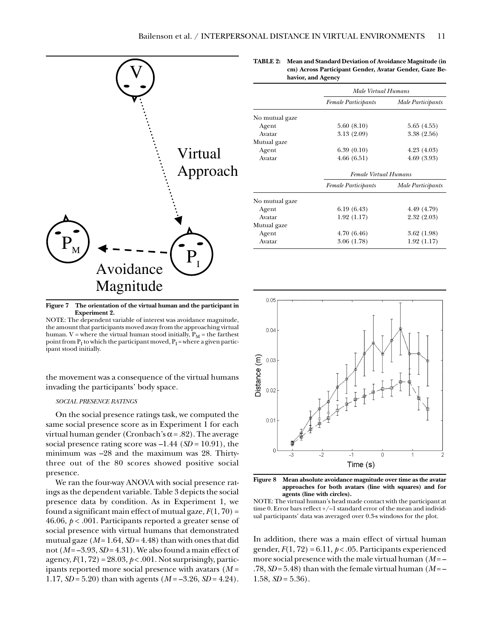

**Figure 7 The orientation of the virtual human and the participant in Experiment 2.**

NOTE: The dependent variable of interest was avoidance magnitude, the amount that participants moved away from the approaching virtual human. V = where the virtual human stood initially,  $P_M$  = the farthest point from  $P_I$  to which the participant moved,  $P_I$  = where a given participant stood initially.

the movement was a consequence of the virtual humans invading the participants' body space.

#### *SOCIAL PRESENCE RATINGS*

On the social presence ratings task, we computed the same social presence score as in Experiment 1 for each virtual human gender (Cronbach's  $\alpha$  = .82). The average social presence rating score was  $-1.44$  (*SD* = 10.91), the minimum was –28 and the maximum was 28. Thirtythree out of the 80 scores showed positive social presence.

We ran the four-way ANOVA with social presence ratings as the dependent variable. Table 3 depicts the social presence data by condition. As in Experiment 1, we found a significant main effect of mutual gaze,  $F(1, 70) =$ 46.06, *p* < .001. Participants reported a greater sense of social presence with virtual humans that demonstrated mutual gaze  $(M=1.64, SD=4.48)$  than with ones that did not (*M* = –3.93, *SD* = 4.31). We also found a main effect of agency,  $F(1, 72) = 28.03$ ,  $p < .001$ . Not surprisingly, participants reported more social presence with avatars (*M* = 1.17, *SD* = 5.20) than with agents (*M* = –3.26, *SD* = 4.24).

**TABLE 2: Mean and Standard Deviation of Avoidance Magnitude (in cm) Across Participant Gender, Avatar Gender, Gaze Behavior, and Agency**

|                | Male Virtual Humans               |                   |
|----------------|-----------------------------------|-------------------|
|                | <i>Female Participants</i>        | Male Participants |
| No mutual gaze |                                   |                   |
| Agent          | 5.60(8.10)                        | 5.65(4.55)        |
| Avatar         | 3.13(2.09)                        | 3.38(2.56)        |
| Mutual gaze    |                                   |                   |
| Agent          | 6.39(0.10)                        | 4.23(4.03)        |
| Avatar         | 4.66(6.51)                        | 4.69(3.93)        |
|                | <b>Female Virtual Humans</b>      |                   |
|                | <i><b>Female Participants</b></i> | Male Participants |
| No mutual gaze |                                   |                   |
| Agent          | 6.19 (6.43)                       | 4.49 (4.79)       |
| Avatar         | 1.92(1.17)                        | 2.32(2.03)        |
| Mutual gaze    |                                   |                   |
| Agent          | 4.70(6.46)                        | 3.62(1.98)        |
| Avatar         | 3.06(1.78)                        | 1.92 (1.17)       |



**Figure 8 Mean absolute avoidance magnitude over time as the avatar approaches for both avatars (line with squares) and for agents (line with circles).**

NOTE: The virtual human's head made contact with the participant at time 0. Error bars reflect +/–1 standard error of the mean and individual participants' data was averaged over 0.3-s windows for the plot.

In addition, there was a main effect of virtual human gender,  $F(1, 72) = 6.11$ ,  $p < .05$ . Participants experienced more social presence with the male virtual human ( $M = -$ .78,  $SD = 5.48$ ) than with the female virtual human ( $M = -$ 1.58,  $SD = 5.36$ ).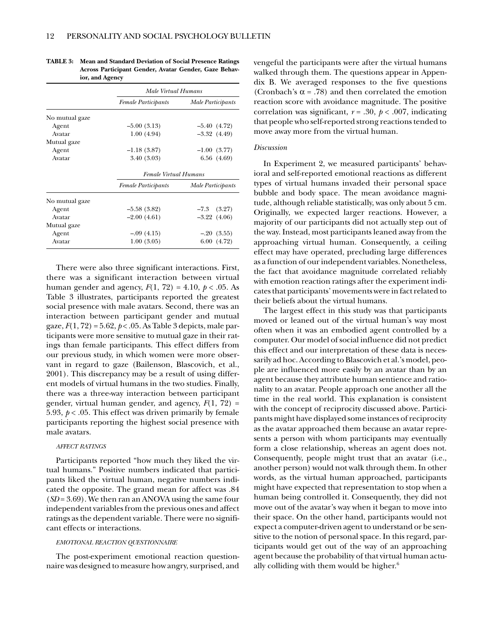|                | Male Virtual Humans          |                   |  |
|----------------|------------------------------|-------------------|--|
|                | Female Participants          | Male Participants |  |
| No mutual gaze |                              |                   |  |
| Agent          | $-5.00(3.13)$                | $-5.40(4.72)$     |  |
| Avatar         | 1.00(4.94)                   | $-3.32(4.49)$     |  |
| Mutual gaze    |                              |                   |  |
| Agent          | $-1.18(3.87)$                | $-1.00(3.77)$     |  |
| Avatar         | 3.40(3.03)                   | 6.56 (4.69)       |  |
|                | <b>Female Virtual Humans</b> |                   |  |
|                | <i>Female Participants</i>   | Male Participants |  |
| No mutual gaze |                              |                   |  |
| Agent          | $-5.58(3.82)$                | $-7.3$ $(3.27)$   |  |
| Avatar         | $-2.00(4.61)$                | $-3.22(4.06)$     |  |
| Mutual gaze    |                              |                   |  |
| Agent          | $-.09(4.15)$                 | $-.20(3.55)$      |  |
| Avatar         | 1.00(3.05)                   | 6.00(4.72)        |  |

| TABLE 3: | Mean and Standard Deviation of Social Presence Ratings |
|----------|--------------------------------------------------------|
|          | Across Participant Gender, Avatar Gender, Gaze Behav-  |
|          | ior, and Agency                                        |

There were also three significant interactions. First, there was a significant interaction between virtual human gender and agency,  $F(1, 72) = 4.10, p < .05$ . As Table 3 illustrates, participants reported the greatest social presence with male avatars. Second, there was an interaction between participant gender and mutual gaze, *F*(1, 72) = 5.62, *p* < .05. As Table 3 depicts, male participants were more sensitive to mutual gaze in their ratings than female participants. This effect differs from our previous study, in which women were more observant in regard to gaze (Bailenson, Blascovich, et al., 2001). This discrepancy may be a result of using different models of virtual humans in the two studies. Finally, there was a three-way interaction between participant gender, virtual human gender, and agency,  $F(1, 72) =$ 5.93, *p* < .05. This effect was driven primarily by female participants reporting the highest social presence with male avatars.

# *AFFECT RATINGS*

Participants reported "how much they liked the virtual humans." Positive numbers indicated that participants liked the virtual human, negative numbers indicated the opposite. The grand mean for affect was .84 (*SD* = 3.69). We then ran an ANOVA using the same four independent variables from the previous ones and affect ratings as the dependent variable. There were no significant effects or interactions.

## *EMOTIONAL REACTION QUESTIONNAIRE*

The post-experiment emotional reaction questionnaire was designed to measure how angry, surprised, and vengeful the participants were after the virtual humans walked through them. The questions appear in Appendix B. We averaged responses to the five questions (Cronbach's  $\alpha$  = .78) and then correlated the emotion reaction score with avoidance magnitude. The positive correlation was significant,  $r = .30$ ,  $p < .007$ , indicating that people who self-reported strong reactions tended to move away more from the virtual human.

# *Discussion*

In Experiment 2, we measured participants' behavioral and self-reported emotional reactions as different types of virtual humans invaded their personal space bubble and body space. The mean avoidance magnitude, although reliable statistically, was only about 5 cm. Originally, we expected larger reactions. However, a majority of our participants did not actually step out of the way. Instead, most participants leaned away from the approaching virtual human. Consequently, a ceiling effect may have operated, precluding large differences as a function of our independent variables. Nonetheless, the fact that avoidance magnitude correlated reliably with emotion reaction ratings after the experiment indicates that participants' movements were in fact related to their beliefs about the virtual humans.

The largest effect in this study was that participants moved or leaned out of the virtual human's way most often when it was an embodied agent controlled by a computer. Our model of social influence did not predict this effect and our interpretation of these data is necessarily ad hoc. According to Blascovich et al.'s model, people are influenced more easily by an avatar than by an agent because they attribute human sentience and rationality to an avatar. People approach one another all the time in the real world. This explanation is consistent with the concept of reciprocity discussed above. Participants might have displayed some instances of reciprocity as the avatar approached them because an avatar represents a person with whom participants may eventually form a close relationship, whereas an agent does not. Consequently, people might trust that an avatar (i.e., another person) would not walk through them. In other words, as the virtual human approached, participants might have expected that representation to stop when a human being controlled it. Consequently, they did not move out of the avatar's way when it began to move into their space. On the other hand, participants would not expect a computer-driven agent to understand or be sensitive to the notion of personal space. In this regard, participants would get out of the way of an approaching agent because the probability of that virtual human actually colliding with them would be higher. $6$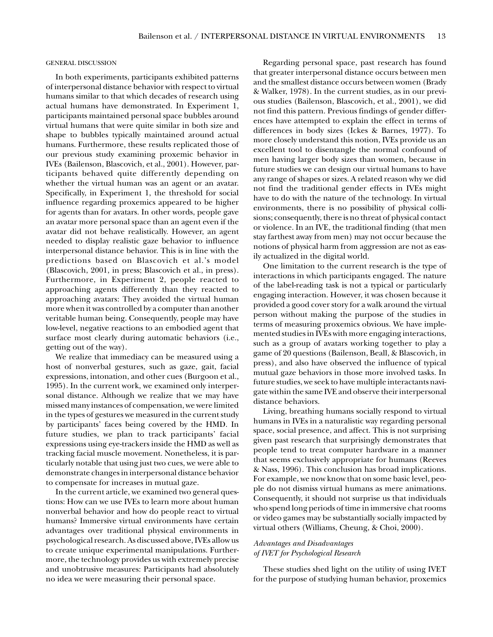#### GENERAL DISCUSSION

In both experiments, participants exhibited patterns of interpersonal distance behavior with respect to virtual humans similar to that which decades of research using actual humans have demonstrated. In Experiment 1, participants maintained personal space bubbles around virtual humans that were quite similar in both size and shape to bubbles typically maintained around actual humans. Furthermore, these results replicated those of our previous study examining proxemic behavior in IVEs (Bailenson, Blascovich, et al., 2001). However, participants behaved quite differently depending on whether the virtual human was an agent or an avatar. Specifically, in Experiment 1, the threshold for social influence regarding proxemics appeared to be higher for agents than for avatars. In other words, people gave an avatar more personal space than an agent even if the avatar did not behave realistically. However, an agent needed to display realistic gaze behavior to influence interpersonal distance behavior. This is in line with the predictions based on Blascovich et al.'s model (Blascovich, 2001, in press; Blascovich et al., in press). Furthermore, in Experiment 2, people reacted to approaching agents differently than they reacted to approaching avatars: They avoided the virtual human more when it was controlled by a computer than another veritable human being. Consequently, people may have low-level, negative reactions to an embodied agent that surface most clearly during automatic behaviors (i.e., getting out of the way).

We realize that immediacy can be measured using a host of nonverbal gestures, such as gaze, gait, facial expressions, intonation, and other cues (Burgoon et al., 1995). In the current work, we examined only interpersonal distance. Although we realize that we may have missed many instances of compensation, we were limited in the types of gestures we measured in the current study by participants' faces being covered by the HMD. In future studies, we plan to track participants' facial expressions using eye-trackers inside the HMD as well as tracking facial muscle movement. Nonetheless, it is particularly notable that using just two cues, we were able to demonstrate changes in interpersonal distance behavior to compensate for increases in mutual gaze.

In the current article, we examined two general questions: How can we use IVEs to learn more about human nonverbal behavior and how do people react to virtual humans? Immersive virtual environments have certain advantages over traditional physical environments in psychological research. As discussed above, IVEs allow us to create unique experimental manipulations. Furthermore, the technology provides us with extremely precise and unobtrusive measures: Participants had absolutely no idea we were measuring their personal space.

Regarding personal space, past research has found that greater interpersonal distance occurs between men and the smallest distance occurs between women (Brady & Walker, 1978). In the current studies, as in our previous studies (Bailenson, Blascovich, et al., 2001), we did not find this pattern. Previous findings of gender differences have attempted to explain the effect in terms of differences in body sizes (Ickes & Barnes, 1977). To more closely understand this notion, IVEs provide us an excellent tool to disentangle the normal confound of men having larger body sizes than women, because in future studies we can design our virtual humans to have any range of shapes or sizes. A related reason why we did not find the traditional gender effects in IVEs might have to do with the nature of the technology. In virtual environments, there is no possibility of physical collisions; consequently, there is no threat of physical contact or violence. In an IVE, the traditional finding (that men stay farthest away from men) may not occur because the notions of physical harm from aggression are not as easily actualized in the digital world.

One limitation to the current research is the type of interactions in which participants engaged. The nature of the label-reading task is not a typical or particularly engaging interaction. However, it was chosen because it provided a good cover story for a walk around the virtual person without making the purpose of the studies in terms of measuring proxemics obvious. We have implemented studies in IVEs with more engaging interactions, such as a group of avatars working together to play a game of 20 questions (Bailenson, Beall, & Blascovich, in press), and also have observed the influence of typical mutual gaze behaviors in those more involved tasks. In future studies, we seek to have multiple interactants navigate within the same IVE and observe their interpersonal distance behaviors.

Living, breathing humans socially respond to virtual humans in IVEs in a naturalistic way regarding personal space, social presence, and affect. This is not surprising given past research that surprisingly demonstrates that people tend to treat computer hardware in a manner that seems exclusively appropriate for humans (Reeves & Nass, 1996). This conclusion has broad implications. For example, we now know that on some basic level, people do not dismiss virtual humans as mere animations. Consequently, it should not surprise us that individuals who spend long periods of time in immersive chat rooms or video games may be substantially socially impacted by virtual others (Williams, Cheung, & Choi, 2000).

# *Advantages and Disadvantages of IVET for Psychological Research*

These studies shed light on the utility of using IVET for the purpose of studying human behavior, proxemics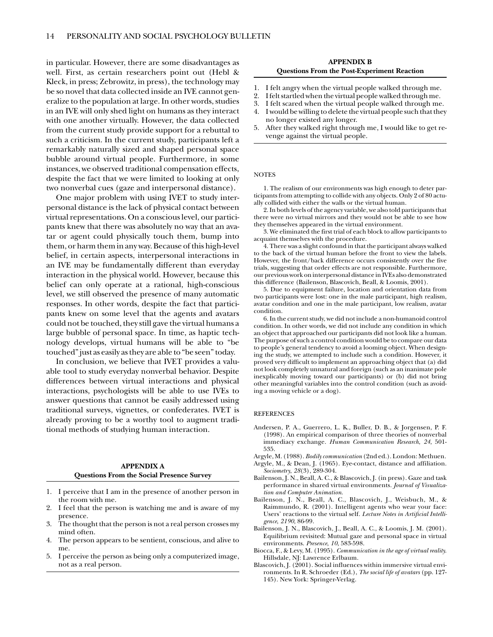in particular. However, there are some disadvantages as well. First, as certain researchers point out (Hebl & Kleck, in press; Zebrowitz, in press), the technology may be so novel that data collected inside an IVE cannot generalize to the population at large. In other words, studies in an IVE will only shed light on humans as they interact with one another virtually. However, the data collected from the current study provide support for a rebuttal to such a criticism. In the current study, participants left a remarkably naturally sized and shaped personal space bubble around virtual people. Furthermore, in some instances, we observed traditional compensation effects, despite the fact that we were limited to looking at only two nonverbal cues (gaze and interpersonal distance).

One major problem with using IVET to study interpersonal distance is the lack of physical contact between virtual representations. On a conscious level, our participants knew that there was absolutely no way that an avatar or agent could physically touch them, bump into them, or harm them in any way. Because of this high-level belief, in certain aspects, interpersonal interactions in an IVE may be fundamentally different than everyday interaction in the physical world. However, because this belief can only operate at a rational, high-conscious level, we still observed the presence of many automatic responses. In other words, despite the fact that participants knew on some level that the agents and avatars could not be touched, they still gave the virtual humans a large bubble of personal space. In time, as haptic technology develops, virtual humans will be able to "be touched" just as easily as they are able to "be seen" today.

In conclusion, we believe that IVET provides a valuable tool to study everyday nonverbal behavior. Despite differences between virtual interactions and physical interactions, psychologists will be able to use IVEs to answer questions that cannot be easily addressed using traditional surveys, vignettes, or confederates. IVET is already proving to be a worthy tool to augment traditional methods of studying human interaction.

#### **APPENDIX A Questions From the Social Presence Survey**

- 1. I perceive that I am in the presence of another person in the room with me.
- 2. I feel that the person is watching me and is aware of my presence.
- 3. The thought that the person is not a real person crosses my mind often.
- 4. The person appears to be sentient, conscious, and alive to me.
- 5. I perceive the person as being only a computerized image, not as a real person.

| <b>APPENDIX B</b>                                  |
|----------------------------------------------------|
| <b>Questions From the Post-Experiment Reaction</b> |

- 1. I felt angry when the virtual people walked through me.
- 2. I felt startled when the virtual people walked through me.
- 3. I felt scared when the virtual people walked through me.
- 4. I would be willing to delete the virtual people such that they no longer existed any longer.
- 5. After they walked right through me, I would like to get revenge against the virtual people.

#### **NOTES**

1. The realism of our environments was high enough to deter participants from attempting to collide with any objects. Only 2 of 80 actually collided with either the walls or the virtual human.

2. In both levels of the agency variable, we also told participants that there were no virtual mirrors and they would not be able to see how they themselves appeared in the virtual environment.

3. We eliminated the first trial of each block to allow participants to acquaint themselves with the procedure.

4. There was a slight confound in that the participant always walked to the back of the virtual human before the front to view the labels. However, the front/back difference occurs consistently over the five trials, suggesting that order effects are not responsible. Furthermore, our previous work on interpersonal distance in IVEs also demonstrated this difference (Bailenson, Blascovich, Beall, & Loomis, 2001).

5. Due to equipment failure, location and orientation data from two participants were lost: one in the male participant, high realism, avatar condition and one in the male participant, low realism, avatar condition.

6. In the current study, we did not include a non-humanoid control condition. In other words, we did not include any condition in which an object that approached our participants did not look like a human. The purpose of such a control condition would be to compare our data to people's general tendency to avoid a looming object. When designing the study, we attempted to include such a condition. However, it proved very difficult to implement an approaching object that (a) did not look completely unnatural and foreign (such as an inanimate pole inexplicably moving toward our participants) or (b) did not bring other meaningful variables into the control condition (such as avoiding a moving vehicle or a dog).

#### **REFERENCES**

- Andersen, P. A., Guerrero, L. K., Buller, D. B., & Jorgensen, P. F. (1998). An empirical comparison of three theories of nonverbal immediacy exchange. *Human Communication Research*, *24*, 501- 535.
- Argyle, M. (1988). *Bodily communication* (2nd ed.). London: Methuen. Argyle, M., & Dean, J. (1965). Eye-contact, distance and affiliation.
- *Sociometry*, *28*(3), 289-304.
- Bailenson, J. N., Beall, A. C., & Blascovich, J. (in press). Gaze and task performance in shared virtual environments. *Journal of Visualization and Computer Animation*.
- Bailenson, J. N., Beall, A. C., Blascovich, J., Weisbuch, M., & Raimmundo, R. (2001). Intelligent agents who wear your face: Users' reactions to the virtual self. *Lecture Notes in Artificial Intelligence*, *2190*, 86-99.
- Bailenson, J. N., Blascovich, J., Beall, A. C., & Loomis, J. M. (2001). Equilibrium revisited: Mutual gaze and personal space in virtual environments. *Presence*, *10*, 583-598.
- Biocca, F., & Levy, M. (1995). *Communication in the age of virtual reality*. Hillsdale, NJ: Lawrence Erlbaum.
- Blascovich, J.  $(2001)$ . Social influences within immersive virtual environments. In R. Schroeder (Ed.), *The social life of avatars* (pp. 127- 145). New York: Springer-Verlag.